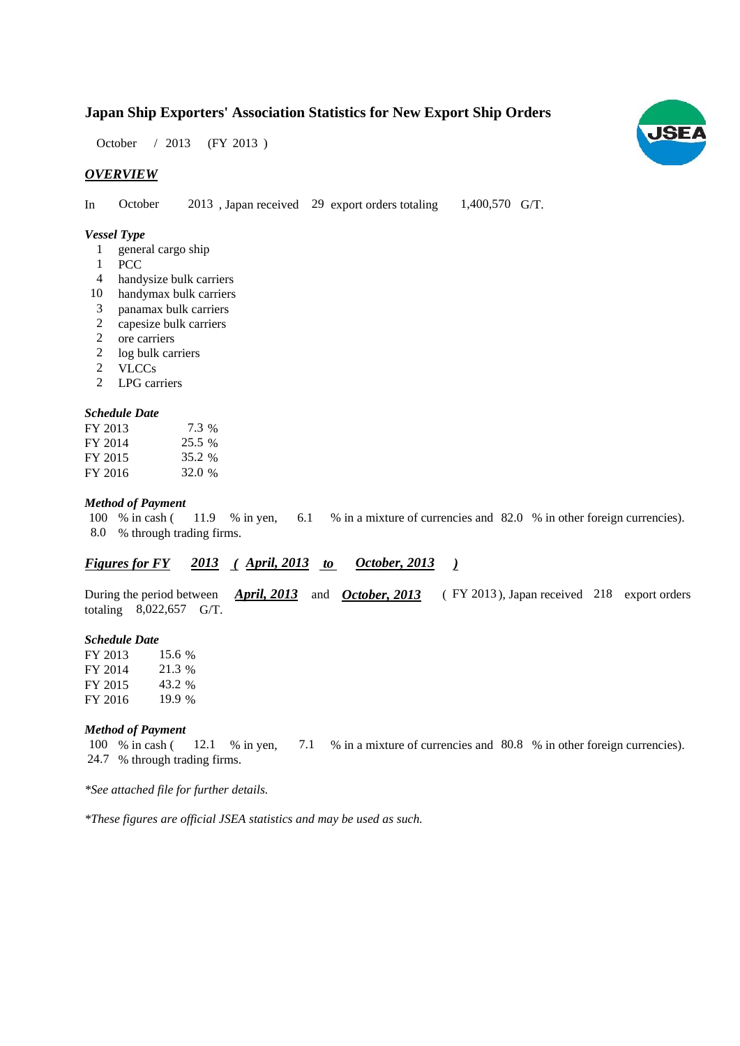### **Japan Ship Exporters' Association Statistics for New Export Ship Orders**

October / 2013 (FY 2013)

#### *OVERVIEW*

In October 2013, Japan received 29 export orders totaling 1,400,570 G/T. 1,400,570 G/T. October

#### *Vessel Type*

- 1 general cargo ship
- PCC 1
- handysize bulk carriers 4
- 10 handymax bulk carriers
- panamax bulk carriers 3
- capesize bulk carriers 2
- ore carriers 2
- 2 log bulk carriers
- VLCCs 2
- LPG carriers 2

#### *Schedule Date*

| FY 2013 | 7.3 %  |
|---------|--------|
| FY 2014 | 25.5 % |
| FY 2015 | 35.2 % |
| FY 2016 | 32.0 % |

#### *Method of Payment*

% in cash ( $11.9$  % in yen,  $6.1$  % in a mixture of currencies and 82.0 % in other foreign currencies). % through trading firms. 8.0 100 % in cash ( 11.9 % in yen, 6.1

#### *<u>Figures for FY 2013 (April, 2013 to October, 2013)</u> October, 2013*

During the period between *April, 2013* and *October, 2013* (FY 2013), Japan received 218 export orders totaling  $8,022,657$  G/T. *April, 2013* and *October, 2013* 

#### *Schedule Date*

FY 2013 FY 2014 FY 2015 FY 2016 19.9 % 15.6 21.3 43.2

#### *Method of Payment*

% in cash ( $\qquad$  12.1 % in yen,  $\qquad$  7.1 % in a mixture of currencies and 80.8 % in other foreign currencies). % through trading firms. 24.7 100 % in cash (12.1 % in yen,

*\*See attached file for further details.*

*\*These figures are official JSEA statistics and may be used as such.*

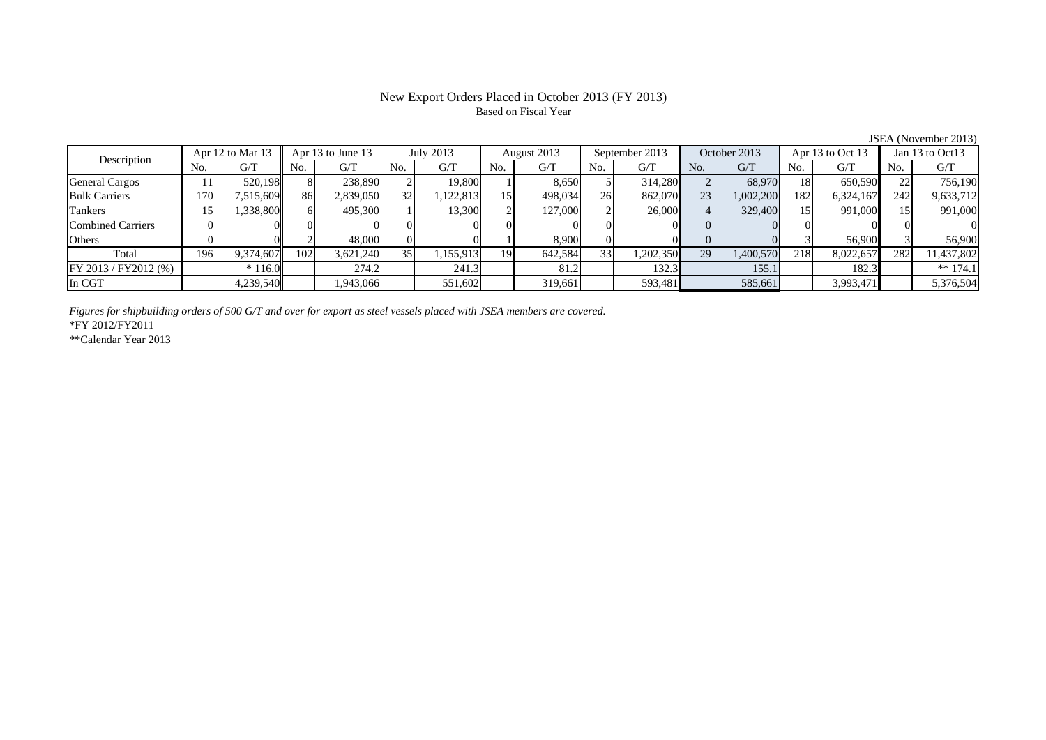#### New Export Orders Placed in October 2013 (FY 2013) Based on Fiscal Year

 $\frac{\text{JSEA (November 2013)}}{\text{Apr } 13 \text{ to Oct } 13 \parallel \text{Jan } 13 \text{ to Oct } 13}$ No. G/T No. G/T No. G/T No. G/T No. G/T No. G/T No. G/T No. G/T $\mathrm{G}/\mathrm{T}$ General Cargos 1 | 11 520,198 8 238,890 2 19,800 1 8,650 5 314,280 2 68,970 18 650,590 22 756,190 Bulk Carriers 170 7,515,609 86 2,839,050 32 1,122,813 15 498,034 26 862,070 23 1,002,200 182 6,324,167 242 9,633,712 Tankers | 15| 1,338,800|| 6| 495,300| 1| 13,300| 2| 127,000| 2| 26,000| 4| 329,400| 15| 991,000|| 15| 991,000 Combined Carriers 0 0 0 0 0 0 0 0 0 0 0 0 0 0 0 0Others 0 0 2 48,000 0 0 1 8,900 0 0 0 0 3 56,900 3 56,900 Total 196 9,374,607 102 3,621,240 35 1,155,913 19 642,584 33 1,202,350 29 1,400,570 218 8,022,657 282 11,437,802 FY 2013 / FY2012 (%)  $\begin{vmatrix} * & 116.0 \end{vmatrix}$  274.2 1032.4 132.3 132.3 134.2 155.1 182.3 132.3 In CGT 4,239,540 1,943,066 551,602 319,661 593,481 585,661 3,993,471 5,376,504 July 2013 August 2013 Description Apr 12 to Mar 13 Apr 13 to June 13 September 2013 October 2013 Apr 13 to Oct 13 Jan 13 to Oct13

*Figures for shipbuilding orders of 500 G/T and over for export as steel vessels placed with JSEA members are covered.*

\*FY 2012/FY2011

\*\*Calendar Year 2013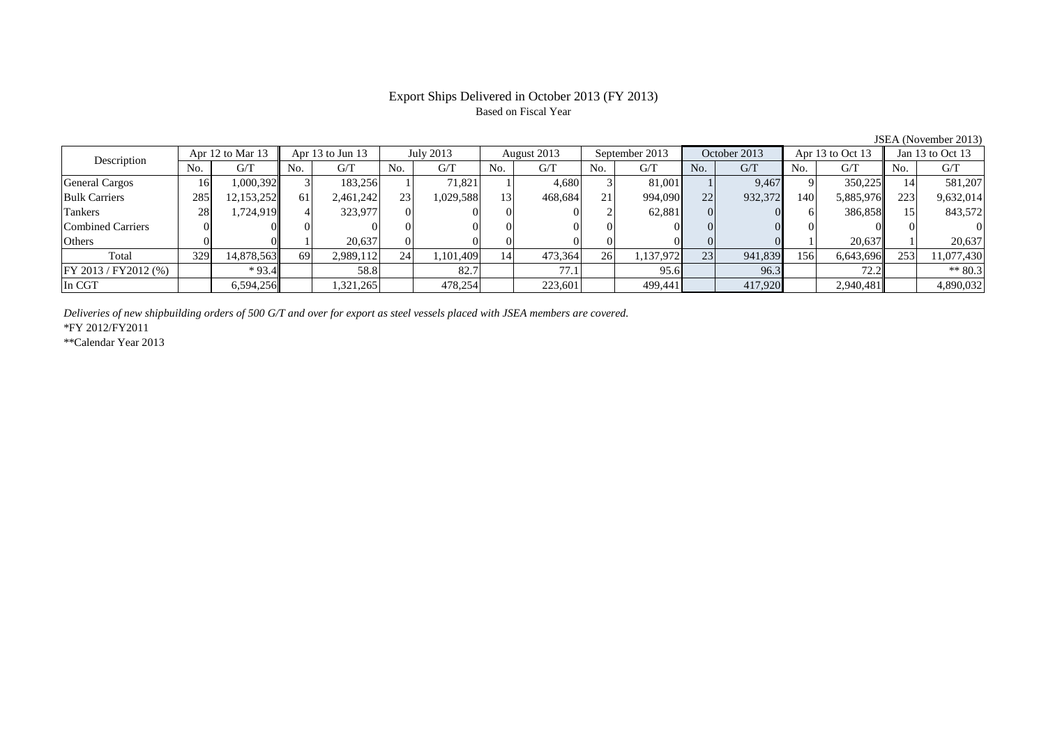# Based on Fiscal Year

No. G/T No. G/T No. G/T No. G/T No. G/T No. G/T No. G/T No. G/T $G/T$ General Cargos ( 16 1,000,392 3 183,256 1 71,821 1 4,680 3 81,001 1 9,467 9 350,225 14 581,207 Bulk Carriers 285 12,153,252 61 2,461,242 23 1,029,588 13 468,684 21 994,090 22 932,372 140 5,885,976 223 9,632,014 Tankers | 28 1,724,919 4 323,977 0 0 0 0 0 2 62,881 0 0 6 386,858 15 843,572 Combined Carriers 0 0 0 0 0 0 0 0 0 0 0 0 0 0 0 0Others 0 0 1 20,637 0 0 0 0 0 0 0 0 1 20,637 1 20,637 Total 329 14,878,563 69 2,989,112 24 1,101,409 14 473,364 26 1,137,972 23 941,839 156 6,643,696 253 11,077,430 FY 2013 / FY2012 (%) \* 93.4 58.8 58.8 58.27 77.1 95.6 96.3 72.2 72.2 \*\* 80.3 In CGT | | 6,594,256|| | 1,321,265| | 478,254| | 223,601| | 499,441| | 417,920| | 2,940,481|| | 4,890,032 Description  $\begin{array}{|c|c|c|c|c|c|c|c|c|}\n\hline\n\text{Apr} & \text{Apr} & \text{Apr} & \text{Apr} & \text{I3 to Jun 13} & \text{July 2013} & \text{August 2013} \\
\hline\n\text{No.} & \text{G/T} & \text{No.} & \text{G/T} & \text{No.} & \text{G/T} & \text{No.} & \text{G/T} \\
\hline\n\end{array}$ Apr 13 to Jun 13 July 2013 August 2013 September 2013 October 2013 Apr 13 to Oct 13 Jan 13 to Oct 13

*Deliveries of new shipbuilding orders of 500 G/T and over for export as steel vessels placed with JSEA members are covered.*

\*FY 2012/FY2011

\*\*Calendar Year 2013

JSEA (November 2013)

# Export Ships Delivered in October 2013 (FY 2013)